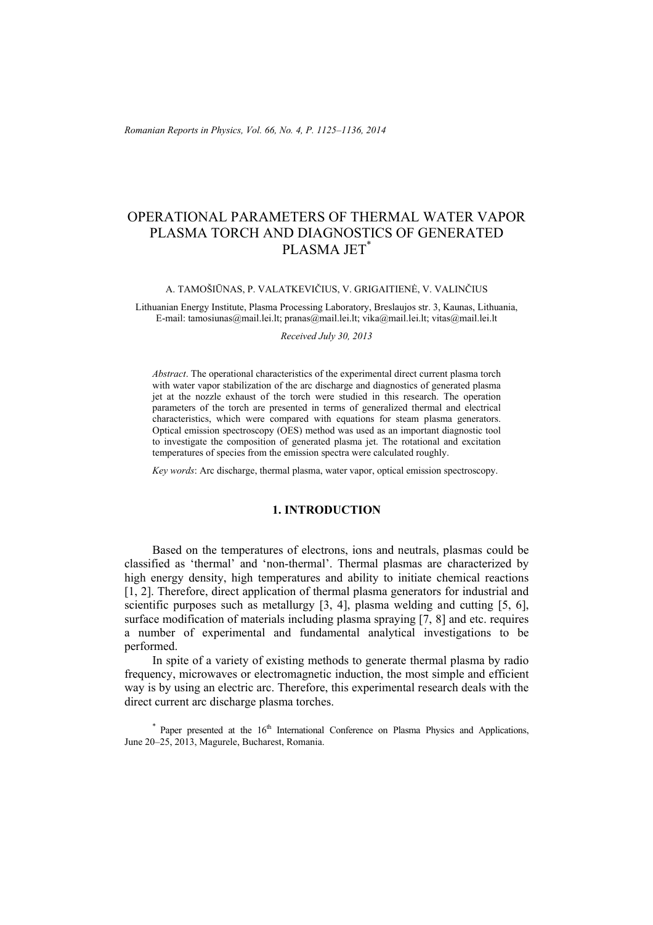*Romanian Reports in Physics, Vol. 66, No. 4, P. 1125–1136, 2014*

# OPERATIONAL PARAMETERS OF THERMAL WATER VAPOR PLASMA TORCH AND DIAGNOSTICS OF GENERATED PLASMA JET<sup>\*</sup>

#### A. TAMOŠIŪNAS, P. VALATKEVIČIUS, V. GRIGAITIENĖ, V. VALINČIUS

Lithuanian Energy Institute, Plasma Processing Laboratory, Breslaujos str. 3, Kaunas, Lithuania, E-mail: tamosiunas@mail.lei.lt; pranas@mail.lei.lt; vika@mail.lei.lt; vitas@mail.lei.lt

*Received July 30, 2013* 

*Abstract*. The operational characteristics of the experimental direct current plasma torch with water vapor stabilization of the arc discharge and diagnostics of generated plasma jet at the nozzle exhaust of the torch were studied in this research. The operation parameters of the torch are presented in terms of generalized thermal and electrical characteristics, which were compared with equations for steam plasma generators. Optical emission spectroscopy (OES) method was used as an important diagnostic tool to investigate the composition of generated plasma jet. The rotational and excitation temperatures of species from the emission spectra were calculated roughly.

*Key words*: Arc discharge, thermal plasma, water vapor, optical emission spectroscopy.

# **1. INTRODUCTION**

Based on the temperatures of electrons, ions and neutrals, plasmas could be classified as 'thermal' and 'non-thermal'. Thermal plasmas are characterized by high energy density, high temperatures and ability to initiate chemical reactions [1, 2]. Therefore, direct application of thermal plasma generators for industrial and scientific purposes such as metallurgy [3, 4], plasma welding and cutting [5, 6], surface modification of materials including plasma spraying [7, 8] and etc. requires a number of experimental and fundamental analytical investigations to be performed.

In spite of a variety of existing methods to generate thermal plasma by radio frequency, microwaves or electromagnetic induction, the most simple and efficient way is by using an electric arc. Therefore, this experimental research deals with the direct current arc discharge plasma torches.

 $*$  Paper presented at the  $16<sup>th</sup>$  International Conference on Plasma Physics and Applications, June 20–25, 2013, Magurele, Bucharest, Romania.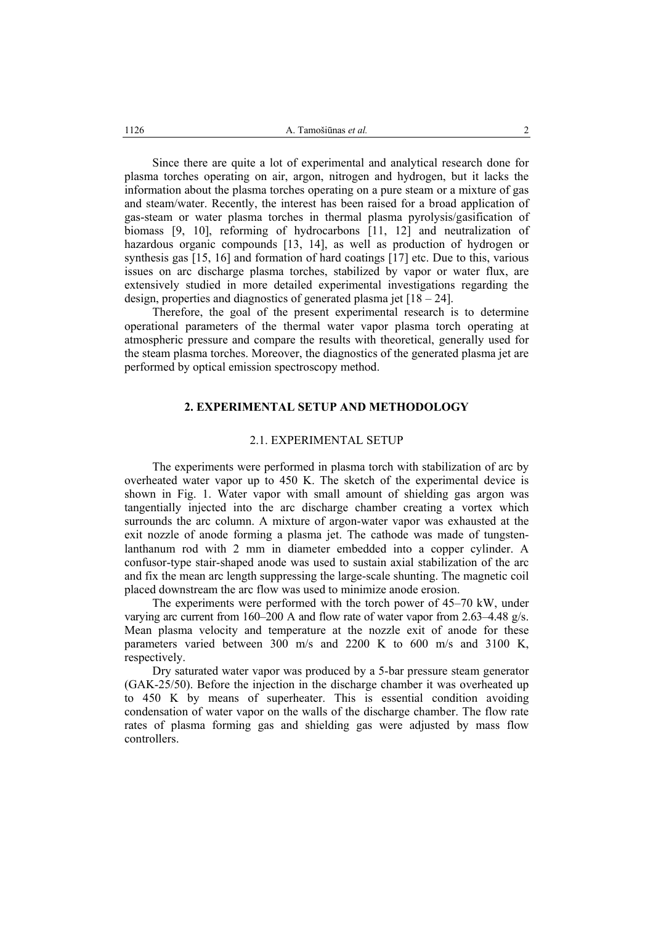Since there are quite a lot of experimental and analytical research done for plasma torches operating on air, argon, nitrogen and hydrogen, but it lacks the information about the plasma torches operating on a pure steam or a mixture of gas and steam/water. Recently, the interest has been raised for a broad application of gas-steam or water plasma torches in thermal plasma pyrolysis/gasification of biomass [9, 10], reforming of hydrocarbons [11, 12] and neutralization of hazardous organic compounds [13, 14], as well as production of hydrogen or synthesis gas [15, 16] and formation of hard coatings [17] etc. Due to this, various issues on arc discharge plasma torches, stabilized by vapor or water flux, are extensively studied in more detailed experimental investigations regarding the design, properties and diagnostics of generated plasma jet  $[18 - 24]$ .

Therefore, the goal of the present experimental research is to determine operational parameters of the thermal water vapor plasma torch operating at atmospheric pressure and compare the results with theoretical, generally used for the steam plasma torches. Moreover, the diagnostics of the generated plasma jet are performed by optical emission spectroscopy method.

#### **2. EXPERIMENTAL SETUP AND METHODOLOGY**

# 2.1. EXPERIMENTAL SETUP

The experiments were performed in plasma torch with stabilization of arc by overheated water vapor up to 450 K. The sketch of the experimental device is shown in Fig. 1. Water vapor with small amount of shielding gas argon was tangentially injected into the arc discharge chamber creating a vortex which surrounds the arc column. A mixture of argon-water vapor was exhausted at the exit nozzle of anode forming a plasma jet. The cathode was made of tungstenlanthanum rod with 2 mm in diameter embedded into a copper cylinder. A confusor-type stair-shaped anode was used to sustain axial stabilization of the arc and fix the mean arc length suppressing the large-scale shunting. The magnetic coil placed downstream the arc flow was used to minimize anode erosion.

The experiments were performed with the torch power of 45–70 kW, under varying arc current from 160–200 A and flow rate of water vapor from 2.63–4.48 g/s. Mean plasma velocity and temperature at the nozzle exit of anode for these parameters varied between  $300 \text{ m/s}$  and  $2200 \text{ K}$  to  $600 \text{ m/s}$  and  $3100 \text{ K}$ . respectively.

Dry saturated water vapor was produced by a 5-bar pressure steam generator (GAK-25/50). Before the injection in the discharge chamber it was overheated up to 450 K by means of superheater. This is essential condition avoiding condensation of water vapor on the walls of the discharge chamber. The flow rate rates of plasma forming gas and shielding gas were adjusted by mass flow controllers.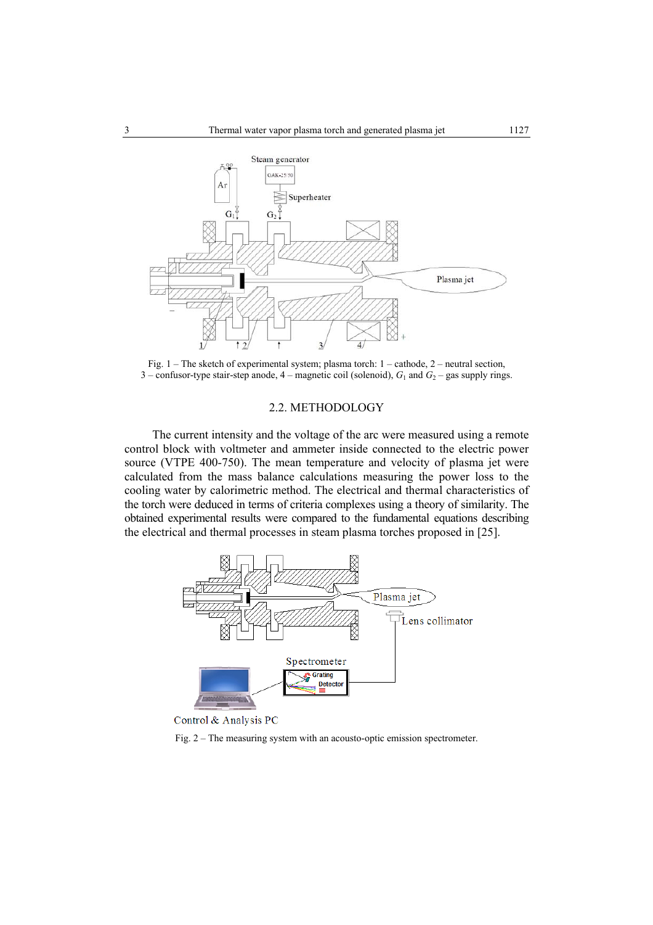

Fig. 1 – The sketch of experimental system; plasma torch: 1 – cathode, 2 – neutral section, 3 – confusor-type stair-step anode,  $4$  – magnetic coil (solenoid),  $G_1$  and  $G_2$  – gas supply rings.

# 2.2. METHODOLOGY

The current intensity and the voltage of the arc were measured using a remote control block with voltmeter and ammeter inside connected to the electric power source (VTPE 400-750). The mean temperature and velocity of plasma jet were calculated from the mass balance calculations measuring the power loss to the cooling water by calorimetric method. The electrical and thermal characteristics of the torch were deduced in terms of criteria complexes using a theory of similarity. The obtained experimental results were compared to the fundamental equations describing the electrical and thermal processes in steam plasma torches proposed in [25].



Control & Analysis PC

Fig. 2 – The measuring system with an acousto-optic emission spectrometer.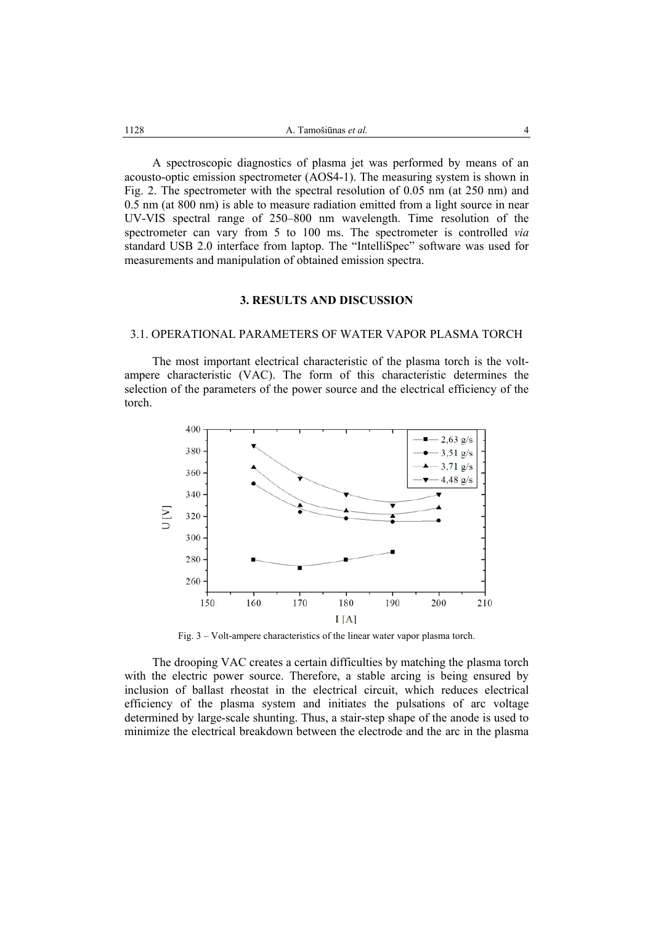A spectroscopic diagnostics of plasma jet was performed by means of an acousto-optic emission spectrometer (AOS4-1). The measuring system is shown in Fig. 2. The spectrometer with the spectral resolution of 0.05 nm (at 250 nm) and 0.5 nm (at 800 nm) is able to measure radiation emitted from a light source in near UV-VIS spectral range of 250–800 nm wavelength. Time resolution of the spectrometer can vary from 5 to 100 ms. The spectrometer is controlled *via* standard USB 2.0 interface from laptop. The "IntelliSpec" software was used for measurements and manipulation of obtained emission spectra.

## **3. RESULTS AND DISCUSSION**

# 3.1. OPERATIONAL PARAMETERS OF WATER VAPOR PLASMA TORCH

The most important electrical characteristic of the plasma torch is the voltampere characteristic (VAC). The form of this characteristic determines the selection of the parameters of the power source and the electrical efficiency of the torch.



Fig. 3 – Volt-ampere characteristics of the linear water vapor plasma torch.

The drooping VAC creates a certain difficulties by matching the plasma torch with the electric power source. Therefore, a stable arcing is being ensured by inclusion of ballast rheostat in the electrical circuit, which reduces electrical efficiency of the plasma system and initiates the pulsations of arc voltage determined by large-scale shunting. Thus, a stair-step shape of the anode is used to minimize the electrical breakdown between the electrode and the arc in the plasma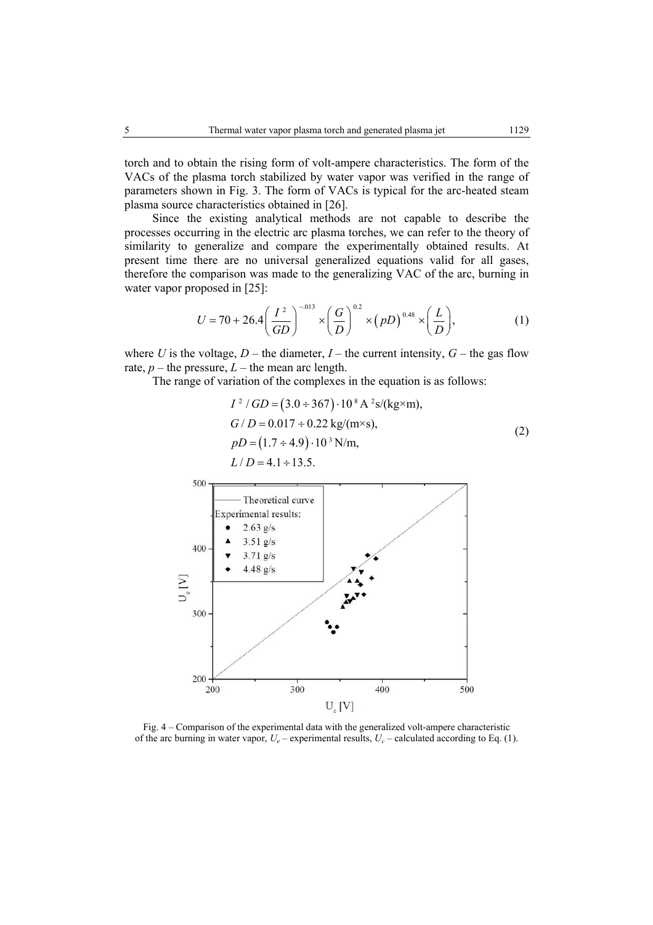torch and to obtain the rising form of volt-ampere characteristics. The form of the VACs of the plasma torch stabilized by water vapor was verified in the range of parameters shown in Fig. 3. The form of VACs is typical for the arc-heated steam plasma source characteristics obtained in [26].

Since the existing analytical methods are not capable to describe the processes occurring in the electric arc plasma torches, we can refer to the theory of similarity to generalize and compare the experimentally obtained results. At present time there are no universal generalized equations valid for all gases, therefore the comparison was made to the generalizing VAC of the arc, burning in water vapor proposed in [25]:

$$
U = 70 + 26.4 \left(\frac{I^2}{GD}\right)^{-0.013} \times \left(\frac{G}{D}\right)^{0.2} \times (pD)^{0.48} \times \left(\frac{L}{D}\right),\tag{1}
$$

where *U* is the voltage,  $D$  – the diameter,  $I$  – the current intensity,  $G$  – the gas flow rate,  $p$  – the pressure,  $L$  – the mean arc length.

The range of variation of the complexes in the equation is as follows:

$$
I^{2}/GD = (3.0 \div 367) \cdot 10^{8} \text{ A}^{2} \text{s/(kg} \times \text{m}),
$$
  
\n
$$
G/D = 0.017 \div 0.22 \text{ kg/(m} \times \text{s}),
$$
  
\n
$$
pD = (1.7 \div 4.9) \cdot 10^{3} \text{ N/m},
$$
  
\n
$$
L/D = 4.1 \div 13.5.
$$
 (2)



Fig. 4 – Comparison of the experimental data with the generalized volt-ampere characteristic of the arc burning in water vapor,  $U_e$  – experimental results,  $U_c$  – calculated according to Eq. (1).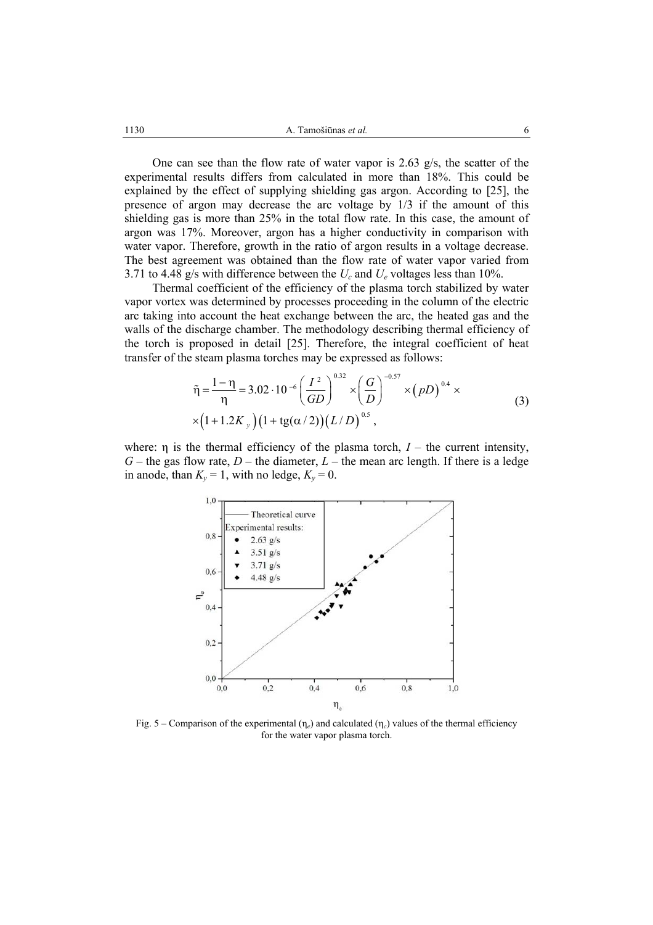One can see than the flow rate of water vapor is 2.63 g/s, the scatter of the experimental results differs from calculated in more than 18%. This could be explained by the effect of supplying shielding gas argon. According to [25], the presence of argon may decrease the arc voltage by 1/3 if the amount of this shielding gas is more than 25% in the total flow rate. In this case, the amount of argon was 17%. Moreover, argon has a higher conductivity in comparison with water vapor. Therefore, growth in the ratio of argon results in a voltage decrease. The best agreement was obtained than the flow rate of water vapor varied from 3.71 to 4.48 g/s with difference between the *Uc* and *Ue* voltages less than 10%.

Thermal coefficient of the efficiency of the plasma torch stabilized by water vapor vortex was determined by processes proceeding in the column of the electric arc taking into account the heat exchange between the arc, the heated gas and the walls of the discharge chamber. The methodology describing thermal efficiency of the torch is proposed in detail [25]. Therefore, the integral coefficient of heat transfer of the steam plasma torches may be expressed as follows:

$$
\tilde{\eta} = \frac{1 - \eta}{\eta} = 3.02 \cdot 10^{-6} \left(\frac{I^2}{GD}\right)^{0.32} \times \left(\frac{G}{D}\right)^{-0.57} \times (pD)^{0.4} \times \left(1 + 1.2K_y\right) \left(1 + \text{tg}(\alpha/2)\right) \left(L/D\right)^{0.5},\tag{3}
$$

where:  $\eta$  is the thermal efficiency of the plasma torch,  $I$  – the current intensity,  $G$  – the gas flow rate,  $D$  – the diameter,  $L$  – the mean arc length. If there is a ledge in anode, than  $K_v = 1$ , with no ledge,  $K_v = 0$ .



Fig. 5 – Comparison of the experimental  $(\eta_e)$  and calculated  $(\eta_c)$  values of the thermal efficiency for the water vapor plasma torch.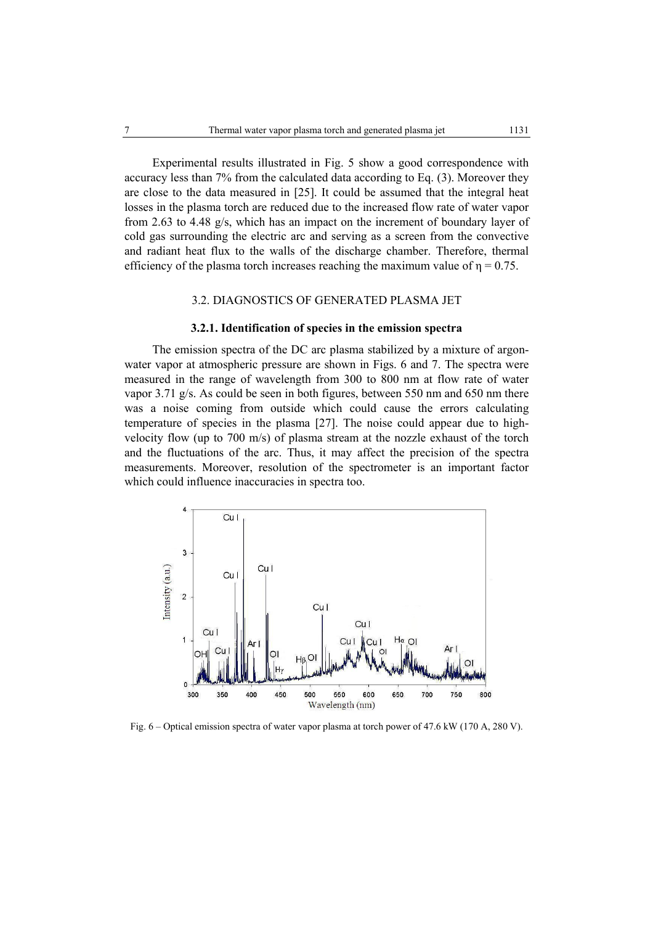Experimental results illustrated in Fig. 5 show a good correspondence with accuracy less than 7% from the calculated data according to Eq. (3). Moreover they are close to the data measured in [25]. It could be assumed that the integral heat losses in the plasma torch are reduced due to the increased flow rate of water vapor from 2.63 to 4.48 g/s, which has an impact on the increment of boundary layer of cold gas surrounding the electric arc and serving as a screen from the convective and radiant heat flux to the walls of the discharge chamber. Therefore, thermal efficiency of the plasma torch increases reaching the maximum value of  $\eta = 0.75$ .

# 3.2. DIAGNOSTICS OF GENERATED PLASMA JET

#### **3.2.1. Identification of species in the emission spectra**

The emission spectra of the DC arc plasma stabilized by a mixture of argonwater vapor at atmospheric pressure are shown in Figs. 6 and 7. The spectra were measured in the range of wavelength from 300 to 800 nm at flow rate of water vapor 3.71  $g/s$ . As could be seen in both figures, between 550 nm and 650 nm there was a noise coming from outside which could cause the errors calculating temperature of species in the plasma [27]. The noise could appear due to highvelocity flow (up to 700 m/s) of plasma stream at the nozzle exhaust of the torch and the fluctuations of the arc. Thus, it may affect the precision of the spectra measurements. Moreover, resolution of the spectrometer is an important factor which could influence inaccuracies in spectra too.



Fig. 6 – Optical emission spectra of water vapor plasma at torch power of 47.6 kW (170 A, 280 V).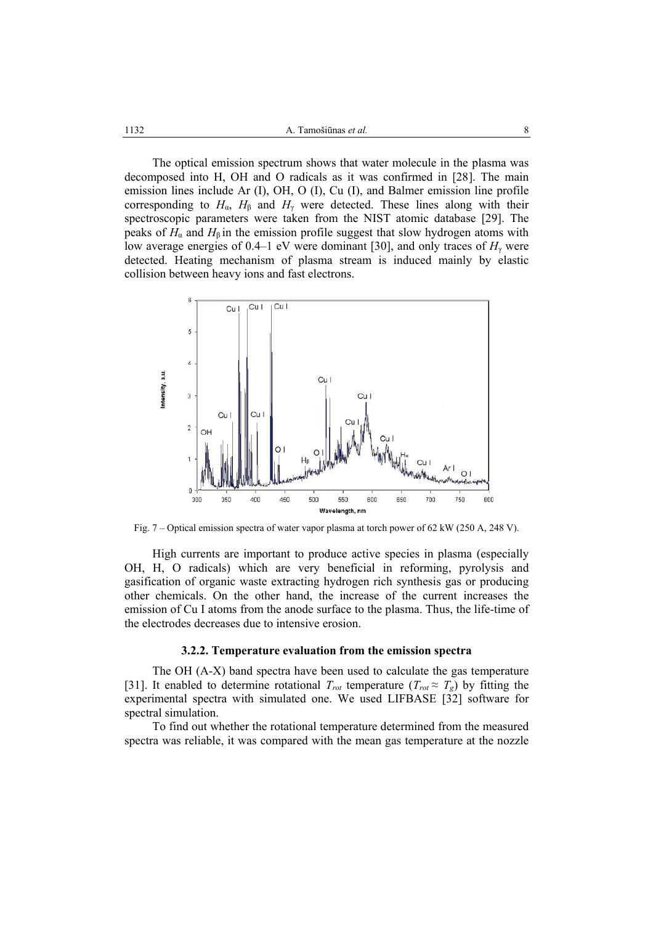The optical emission spectrum shows that water molecule in the plasma was decomposed into H, OH and O radicals as it was confirmed in [28]. The main emission lines include Ar (I), OH, O (I), Cu (I), and Balmer emission line profile corresponding to  $H_{\alpha}$ ,  $H_{\beta}$  and  $H_{\gamma}$  were detected. These lines along with their spectroscopic parameters were taken from the NIST atomic database [29]. The peaks of  $H_{\alpha}$  and  $H_{\beta}$  in the emission profile suggest that slow hydrogen atoms with low average energies of 0.4–1 eV were dominant [30], and only traces of  $H_\gamma$  were detected. Heating mechanism of plasma stream is induced mainly by elastic collision between heavy ions and fast electrons.



Fig. 7 – Optical emission spectra of water vapor plasma at torch power of 62 kW (250 A, 248 V).

High currents are important to produce active species in plasma (especially OH, H, O radicals) which are very beneficial in reforming, pyrolysis and gasification of organic waste extracting hydrogen rich synthesis gas or producing other chemicals. On the other hand, the increase of the current increases the emission of Cu I atoms from the anode surface to the plasma. Thus, the life-time of the electrodes decreases due to intensive erosion.

#### **3.2.2. Temperature evaluation from the emission spectra**

The OH (A-X) band spectra have been used to calculate the gas temperature [31]. It enabled to determine rotational  $T_{rot}$  temperature  $(T_{rot} \approx T_g)$  by fitting the experimental spectra with simulated one. We used LIFBASE [32] software for spectral simulation.

To find out whether the rotational temperature determined from the measured spectra was reliable, it was compared with the mean gas temperature at the nozzle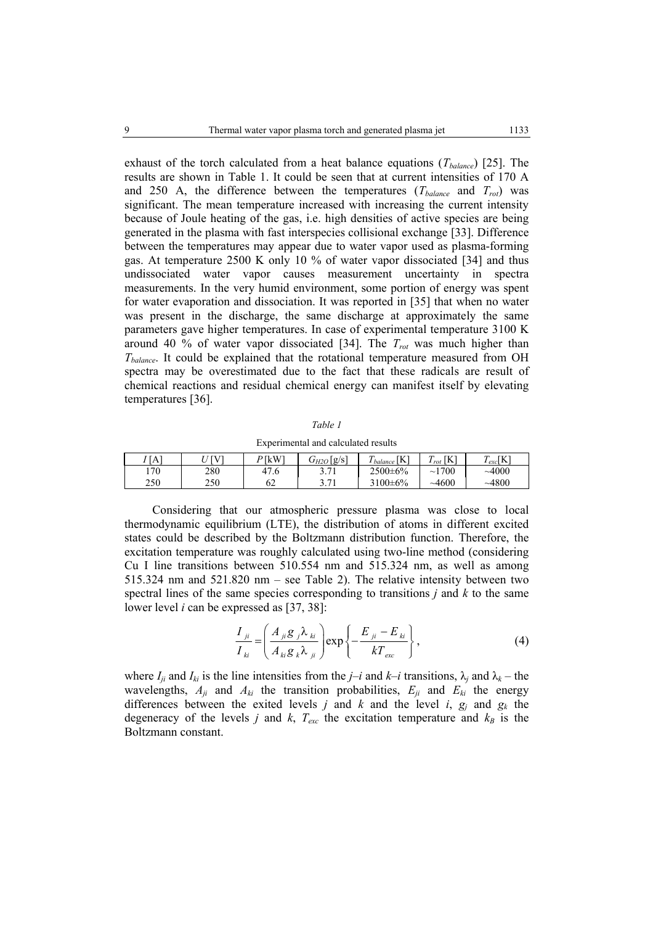exhaust of the torch calculated from a heat balance equations (*T<sub>balance</sub>*) [25]. The results are shown in Table 1. It could be seen that at current intensities of 170 A and 250 A, the difference between the temperatures  $(T_{balance}$  and  $T_{rot}$ ) was significant. The mean temperature increased with increasing the current intensity because of Joule heating of the gas, i.e. high densities of active species are being generated in the plasma with fast interspecies collisional exchange [33]. Difference between the temperatures may appear due to water vapor used as plasma-forming gas. At temperature 2500 K only 10 % of water vapor dissociated [34] and thus undissociated water vapor causes measurement uncertainty in spectra measurements. In the very humid environment, some portion of energy was spent for water evaporation and dissociation. It was reported in [35] that when no water was present in the discharge, the same discharge at approximately the same parameters gave higher temperatures. In case of experimental temperature 3100 K around 40 % of water vapor dissociated [34]. The *Trot* was much higher than *Tbalance*. It could be explained that the rotational temperature measured from OH spectra may be overestimated due to the fact that these radicals are result of chemical reactions and residual chemical energy can manifest itself by elevating temperatures [36].

| Experimental and calculated results |          |  |                                                                         |  |  |  |  |
|-------------------------------------|----------|--|-------------------------------------------------------------------------|--|--|--|--|
| $II$ [V]                            | $P$ [kW] |  | $G_{H2O}[\mathbf{g/s}]$ $T_{balance}[\mathbf{K}]$ $T_{rot}[\mathbf{K}]$ |  |  |  |  |

*Table 1* 

| ' [A] | $I$ [V] | P [kW] | $18^{\circ}$<br>$\mathrm{U}_{H2O}$ | LL J<br>N<br>balance | LL J<br>$\mathbf{u}$<br>A<br>$1$ rot | $T_{exc}$ [K] |
|-------|---------|--------|------------------------------------|----------------------|--------------------------------------|---------------|
| 170   | 280     | 47.6   | 2.71                               | $2500 \pm 6\%$       | 1700<br>$\sim$ 1                     | ~1000         |
| 250   | 250     | 62     | 2.71<br>J.II                       | $3100 \pm 6\%$       | ~14600                               | $-4800$       |

Considering that our atmospheric pressure plasma was close to local thermodynamic equilibrium (LTE), the distribution of atoms in different excited states could be described by the Boltzmann distribution function. Therefore, the excitation temperature was roughly calculated using two-line method (considering Cu I line transitions between 510.554 nm and 515.324 nm, as well as among 515.324 nm and 521.820 nm – see Table 2). The relative intensity between two spectral lines of the same species corresponding to transitions *j* and *k* to the same lower level *i* can be expressed as [37, 38]:

$$
\frac{I_{ji}}{I_{ki}} = \left(\frac{A_{ji}g_j\lambda_{ki}}{A_{ki}g_k\lambda_{ji}}\right) \exp\left\{-\frac{E_{ji} - E_{ki}}{kT_{exc}}\right\},\tag{4}
$$

where  $I_{ii}$  and  $I_{ki}$  is the line intensities from the *j–i* and  $k-i$  transitions,  $\lambda_i$  and  $\lambda_k$  – the wavelengths,  $A_{ji}$  and  $A_{ki}$  the transition probabilities,  $E_{ji}$  and  $E_{ki}$  the energy differences between the exited levels *j* and *k* and the level *i*,  $g_i$  and  $g_k$  the degeneracy of the levels *j* and *k*,  $T_{exc}$  the excitation temperature and  $k_B$  is the Boltzmann constant.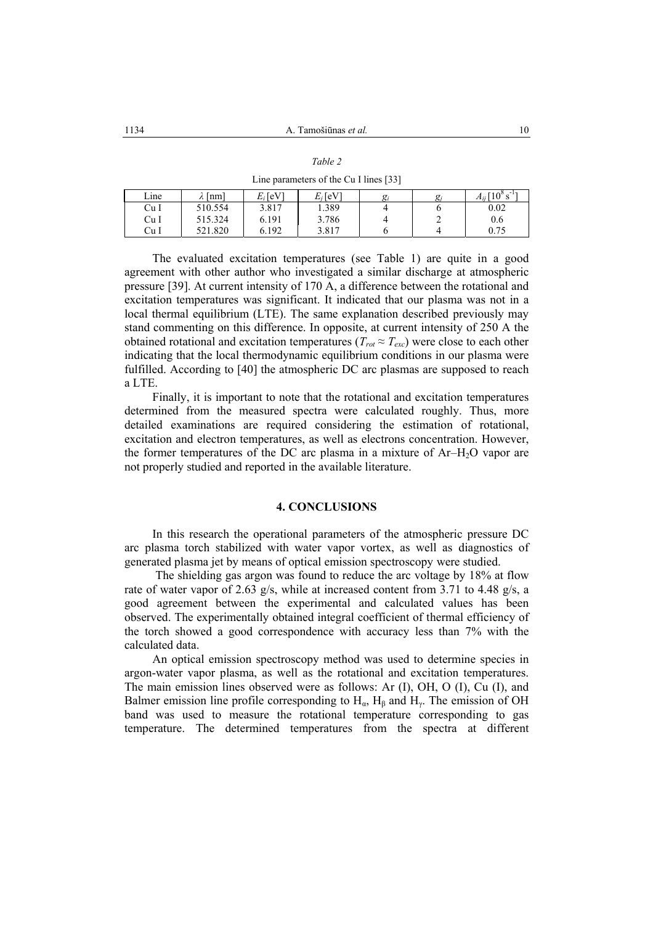| an |  |
|----|--|
|    |  |

Line parameters of the Cu I lines [33]

| Line | [nm]    | $E_i$ [eV] | $E_i$ [eV] | g | $g_i$ | $10^8 s^{-1}$<br>$A_{ii}$ |
|------|---------|------------|------------|---|-------|---------------------------|
| Cu I | 510.554 | 3.817      | 1.389      |   |       | 0.02                      |
| Cu I | 515.324 | 6.191      | 3.786      |   | ∼     | 0.6                       |
| Cu I | 521.820 | 6.192      | 3.817      |   |       | 0.75                      |

The evaluated excitation temperatures (see Table 1) are quite in a good agreement with other author who investigated a similar discharge at atmospheric pressure [39]. At current intensity of 170 A, a difference between the rotational and excitation temperatures was significant. It indicated that our plasma was not in a local thermal equilibrium (LTE). The same explanation described previously may stand commenting on this difference. In opposite, at current intensity of 250 A the obtained rotational and excitation temperatures ( $T_{rot} \approx T_{erc}$ ) were close to each other indicating that the local thermodynamic equilibrium conditions in our plasma were fulfilled. According to [40] the atmospheric DC arc plasmas are supposed to reach a LTE.

Finally, it is important to note that the rotational and excitation temperatures determined from the measured spectra were calculated roughly. Thus, more detailed examinations are required considering the estimation of rotational, excitation and electron temperatures, as well as electrons concentration. However, the former temperatures of the DC arc plasma in a mixture of  $Ar-H<sub>2</sub>O$  vapor are not properly studied and reported in the available literature.

#### **4. CONCLUSIONS**

In this research the operational parameters of the atmospheric pressure DC arc plasma torch stabilized with water vapor vortex, as well as diagnostics of generated plasma jet by means of optical emission spectroscopy were studied.

 The shielding gas argon was found to reduce the arc voltage by 18% at flow rate of water vapor of 2.63 g/s, while at increased content from 3.71 to 4.48 g/s, a good agreement between the experimental and calculated values has been observed. The experimentally obtained integral coefficient of thermal efficiency of the torch showed a good correspondence with accuracy less than 7% with the calculated data.

An optical emission spectroscopy method was used to determine species in argon-water vapor plasma, as well as the rotational and excitation temperatures. The main emission lines observed were as follows: Ar (I), OH, O (I), Cu (I), and Balmer emission line profile corresponding to  $H_{\alpha}$ ,  $H_{\beta}$  and  $H_{\gamma}$ . The emission of OH band was used to measure the rotational temperature corresponding to gas temperature. The determined temperatures from the spectra at different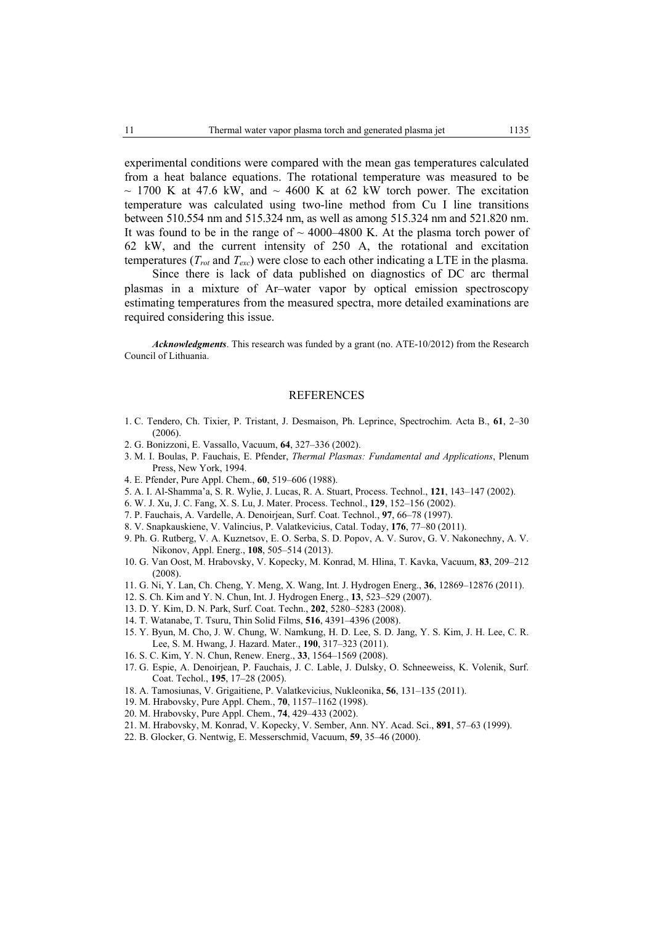experimental conditions were compared with the mean gas temperatures calculated from a heat balance equations. The rotational temperature was measured to be  $\sim$  1700 K at 47.6 kW, and  $\sim$  4600 K at 62 kW torch power. The excitation temperature was calculated using two-line method from Cu I line transitions between 510.554 nm and 515.324 nm, as well as among 515.324 nm and 521.820 nm. It was found to be in the range of  $\sim$  4000–4800 K. At the plasma torch power of 62 kW, and the current intensity of 250 A, the rotational and excitation temperatures ( $T_{rot}$  and  $T_{exc}$ ) were close to each other indicating a LTE in the plasma.

Since there is lack of data published on diagnostics of DC arc thermal plasmas in a mixture of Ar–water vapor by optical emission spectroscopy estimating temperatures from the measured spectra, more detailed examinations are required considering this issue.

*Acknowledgments*. This research was funded by a grant (no. ATE-10/2012) from the Research Council of Lithuania.

#### **REFERENCES**

- 1. C. Tendero, Ch. Tixier, P. Tristant, J. Desmaison, Ph. Leprince, Spectrochim. Acta B., **61**, 2–30 (2006).
- 2. G. Bonizzoni, E. Vassallo, Vacuum, **64**, 327–336 (2002).
- 3. M. I. Boulas, P. Fauchais, E. Pfender, *Thermal Plasmas: Fundamental and Applications*, Plenum Press, New York, 1994.
- 4. E. Pfender, Pure Appl. Chem., **60**, 519–606 (1988).
- 5. A. I. Al-Shamma'a, S. R. Wylie, J. Lucas, R. A. Stuart, Process. Technol., **121**, 143–147 (2002).
- 6. W. J. Xu, J. C. Fang, X. S. Lu, J. Mater. Process. Technol., **129**, 152–156 (2002).
- 7. P. Fauchais, A. Vardelle, A. Denoirjean, Surf. Coat. Technol., **97**, 66–78 (1997).
- 8. V. Snapkauskiene, V. Valincius, P. Valatkevicius, Catal. Today, **176**, 77–80 (2011).
- 9. Ph. G. Rutberg, V. A. Kuznetsov, E. O. Serba, S. D. Popov, A. V. Surov, G. V. Nakonechny, A. V. Nikonov, Appl. Energ., **108**, 505–514 (2013).
- 10. G. Van Oost, M. Hrabovsky, V. Kopecky, M. Konrad, M. Hlina, T. Kavka, Vacuum, **83**, 209–212 (2008).
- 11. G. Ni, Y. Lan, Ch. Cheng, Y. Meng, X. Wang, Int. J. Hydrogen Energ., **36**, 12869–12876 (2011).
- 12. S. Ch. Kim and Y. N. Chun, Int. J. Hydrogen Energ., **13**, 523–529 (2007).
- 13. D. Y. Kim, D. N. Park, Surf. Coat. Techn., **202**, 5280–5283 (2008).
- 14. T. Watanabe, T. Tsuru, Thin Solid Films, **516**, 4391–4396 (2008).
- 15. Y. Byun, M. Cho, J. W. Chung, W. Namkung, H. D. Lee, S. D. Jang, Y. S. Kim, J. H. Lee, C. R. Lee, S. M. Hwang, J. Hazard. Mater., **190**, 317–323 (2011).
- 16. S. C. Kim, Y. N. Chun, Renew. Energ., **33**, 1564–1569 (2008).
- 17. G. Espie, A. Denoirjean, P. Fauchais, J. C. Lable, J. Dulsky, O. Schneeweiss, K. Volenik, Surf. Coat. Techol., **195**, 17–28 (2005).
- 18. A. Tamosiunas, V. Grigaitiene, P. Valatkevicius, Nukleonika, **56**, 131–135 (2011).
- 19. M. Hrabovsky, Pure Appl. Chem., **70**, 1157–1162 (1998).
- 20. M. Hrabovsky, Pure Appl. Chem., **74**, 429–433 (2002).
- 21. M. Hrabovsky, M. Konrad, V. Kopecky, V. Sember, Ann. NY. Acad. Sci., **891**, 57–63 (1999).
- 22. B. Glocker, G. Nentwig, E. Messerschmid, Vacuum, **59**, 35–46 (2000).